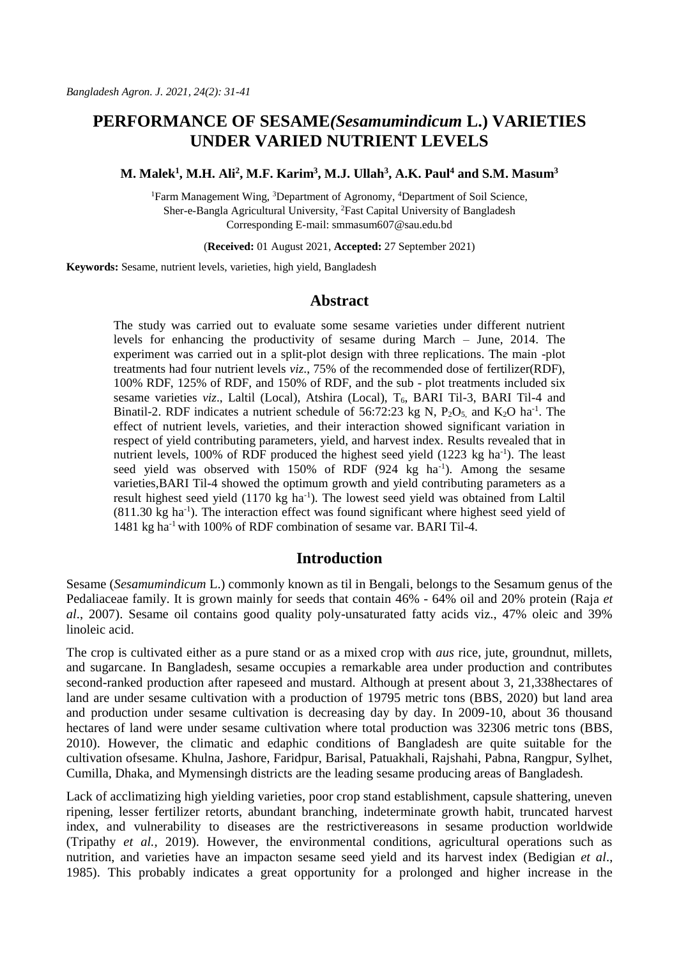# **PERFORMANCE OF SESAME***(Sesamumindicum* **L.) VARIETIES UNDER VARIED NUTRIENT LEVELS**

**M. Malek<sup>1</sup> , M.H. Ali<sup>2</sup> , M.F. Karim<sup>3</sup> , M.J. Ullah<sup>3</sup> , A.K. Paul<sup>4</sup> and S.M. Masum<sup>3</sup>**

<sup>1</sup>Farm Management Wing, <sup>3</sup>Department of Agronomy, <sup>4</sup>Department of Soil Science, Sher-e-Bangla Agricultural University, <sup>2</sup>Fast Capital University of Bangladesh Corresponding E-mail: smmasum607@sau.edu.bd

(**Received:** 01 August 2021, **Accepted:** 27 September 2021)

**Keywords:** Sesame, nutrient levels, varieties, high yield, Bangladesh

# **Abstract**

The study was carried out to evaluate some sesame varieties under different nutrient levels for enhancing the productivity of sesame during March – June, 2014. The experiment was carried out in a split-plot design with three replications. The main -plot treatments had four nutrient levels *viz*., 75% of the recommended dose of fertilizer(RDF), 100% RDF, 125% of RDF, and 150% of RDF, and the sub - plot treatments included six sesame varieties *viz.*, Laltil (Local), Atshira (Local), T<sub>6</sub>, BARI Til-3, BARI Til-4 and Binatil-2. RDF indicates a nutrient schedule of 56:72:23 kg N,  $P_2O_5$ , and  $K_2O$  ha<sup>-1</sup>. The effect of nutrient levels, varieties, and their interaction showed significant variation in respect of yield contributing parameters, yield, and harvest index. Results revealed that in nutrient levels,  $100\%$  of RDF produced the highest seed yield  $(1223 \text{ kg ha}^{-1})$ . The least seed yield was observed with  $150\%$  of RDF (924 kg ha<sup>-1</sup>). Among the sesame varieties,BARI Til-4 showed the optimum growth and yield contributing parameters as a result highest seed yield (1170 kg ha<sup>-1</sup>). The lowest seed yield was obtained from Laltil (811.30 kg ha<sup>-1</sup>). The interaction effect was found significant where highest seed yield of 1481 kg ha-1 with 100% of RDF combination of sesame var. BARI Til-4.

# **Introduction**

Sesame (*Sesamumindicum* L.) commonly known as til in Bengali, belongs to the Sesamum genus of the Pedaliaceae family. It is grown mainly for seeds that contain 46% - 64% oil and 20% protein (Raja *et al*., 2007). Sesame oil contains good quality poly-unsaturated fatty acids viz., 47% oleic and 39% linoleic acid.

The crop is cultivated either as a pure stand or as a mixed crop with *aus* rice, jute, groundnut, millets, and sugarcane. In Bangladesh, sesame occupies a remarkable area under production and contributes second-ranked production after rapeseed and mustard. Although at present about 3, 21,338hectares of land are under sesame cultivation with a production of 19795 metric tons (BBS, 2020) but land area and production under sesame cultivation is decreasing day by day. In 2009-10, about 36 thousand hectares of land were under sesame cultivation where total production was 32306 metric tons (BBS, 2010). However, the climatic and edaphic conditions of Bangladesh are quite suitable for the cultivation ofsesame. Khulna, Jashore, Faridpur, Barisal, Patuakhali, Rajshahi, Pabna, Rangpur, Sylhet, Cumilla, Dhaka, and Mymensingh districts are the leading sesame producing areas of Bangladesh.

Lack of acclimatizing high yielding varieties, poor crop stand establishment, capsule shattering, uneven ripening, lesser fertilizer retorts, abundant branching, indeterminate growth habit, truncated harvest index, and vulnerability to diseases are the restrictivereasons in sesame production worldwide (Tripathy *et al.,* 2019). However, the environmental conditions, agricultural operations such as nutrition, and varieties have an impacton sesame seed yield and its harvest index (Bedigian *et al*., 1985). This probably indicates a great opportunity for a prolonged and higher increase in the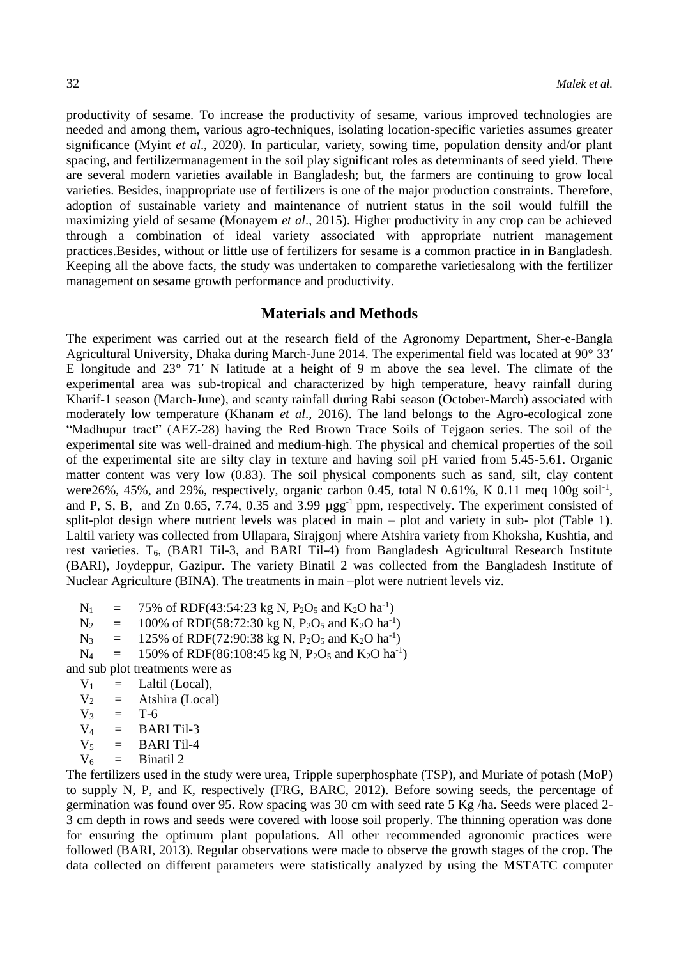productivity of sesame. To increase the productivity of sesame, various improved technologies are needed and among them, various agro-techniques, isolating location-specific varieties assumes greater significance (Myint *et al*., 2020). In particular, variety, sowing time, population density and/or plant spacing, and fertilizermanagement in the soil play significant roles as determinants of seed yield. There are several modern varieties available in Bangladesh; but, the farmers are continuing to grow local varieties. Besides, inappropriate use of fertilizers is one of the major production constraints. Therefore, adoption of sustainable variety and maintenance of nutrient status in the soil would fulfill the maximizing yield of sesame (Monayem *et al*., 2015). Higher productivity in any crop can be achieved through a combination of ideal variety associated with appropriate nutrient management practices.Besides, without or little use of fertilizers for sesame is a common practice in in Bangladesh. Keeping all the above facts, the study was undertaken to comparethe varietiesalong with the fertilizer management on sesame growth performance and productivity.

## **Materials and Methods**

The experiment was carried out at the research field of the Agronomy Department, Sher-e-Bangla Agricultural University, Dhaka during March-June 2014. The experimental field was located at 90° 33′ E longitude and 23° 71′ N latitude at a height of 9 m above the sea level. The climate of the experimental area was sub-tropical and characterized by high temperature, heavy rainfall during Kharif-1 season (March-June), and scanty rainfall during Rabi season (October-March) associated with moderately low temperature (Khanam *et al*., 2016). The land belongs to the Agro-ecological zone "Madhupur tract" (AEZ-28) having the Red Brown Trace Soils of Tejgaon series. The soil of the experimental site was well-drained and medium-high. The physical and chemical properties of the soil of the experimental site are silty clay in texture and having soil pH varied from 5.45-5.61. Organic matter content was very low (0.83). The soil physical components such as sand, silt, clay content were 26%, 45%, and 29%, respectively, organic carbon 0.45, total N 0.61%, K 0.11 meq 100g soil<sup>-1</sup>, and P, S, B, and Zn 0.65, 7.74, 0.35 and 3.99  $\mu$ gg<sup>-1</sup> ppm, respectively. The experiment consisted of split-plot design where nutrient levels was placed in main – plot and variety in sub- plot (Table 1). Laltil variety was collected from Ullapara, Sirajgonj where Atshira variety from Khoksha, Kushtia, and rest varieties. T6, (BARI Til-3, and BARI Til-4) from Bangladesh Agricultural Research Institute (BARI), Joydeppur, Gazipur. The variety Binatil 2 was collected from the Bangladesh Institute of Nuclear Agriculture (BINA). The treatments in main –plot were nutrient levels viz.

 $N_1$  = 75% of RDF(43:54:23 kg N, P<sub>2</sub>O<sub>5</sub> and K<sub>2</sub>O ha<sup>-1</sup>)

 $N_2$  = 100% of RDF(58:72:30 kg N, P<sub>2</sub>O<sub>5</sub> and K<sub>2</sub>O ha<sup>-1</sup>)

 $N_3$  = 125% of RDF(72:90:38 kg N, P<sub>2</sub>O<sub>5</sub> and K<sub>2</sub>O ha<sup>-1</sup>)

 $N_4$  = 150% of RDF(86:108:45 kg N, P<sub>2</sub>O<sub>5</sub> and K<sub>2</sub>O ha<sup>-1</sup>)

and sub plot treatments were as

 $V_1$  = Laltil (Local),

 $V_2$  = Atshira (Local)

 $V_3 = T-6$ 

 $V_4$  = BARI Til-3

- $V_5$  = BARI Til-4
- $V_6$  = Binatil 2

The fertilizers used in the study were urea, Tripple superphosphate (TSP), and Muriate of potash (MoP) to supply N, P, and K, respectively (FRG, BARC, 2012). Before sowing seeds, the percentage of germination was found over 95. Row spacing was 30 cm with seed rate 5 Kg /ha. Seeds were placed 2- 3 cm depth in rows and seeds were covered with loose soil properly. The thinning operation was done for ensuring the optimum plant populations. All other recommended agronomic practices were followed (BARI, 2013). Regular observations were made to observe the growth stages of the crop. The data collected on different parameters were statistically analyzed by using the MSTATC computer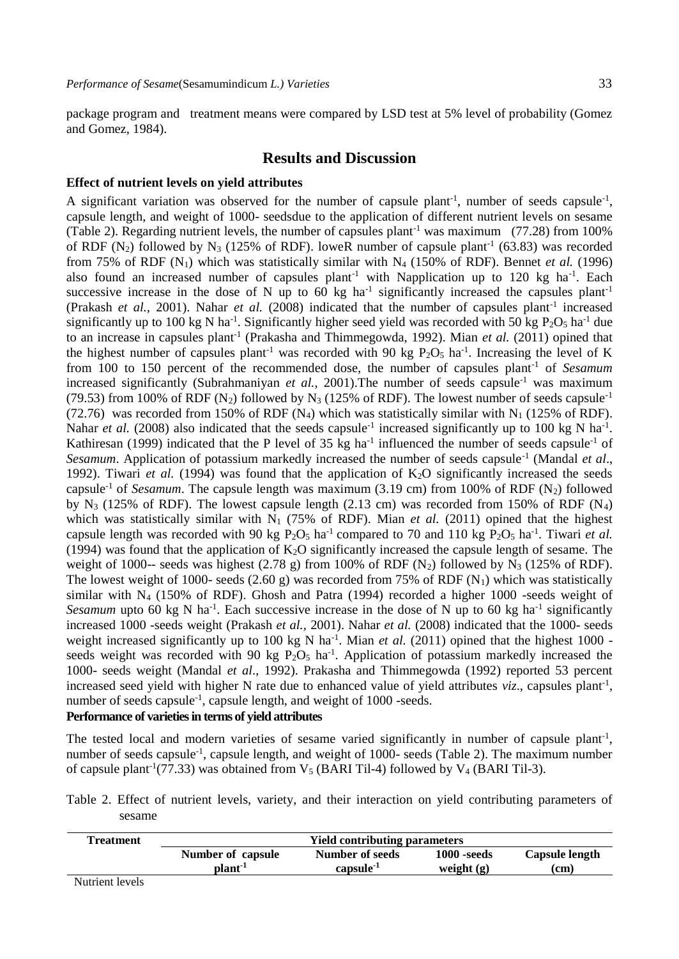package program and treatment means were compared by LSD test at 5% level of probability (Gomez and Gomez, 1984).

# **Results and Discussion**

### **Effect of nutrient levels on yield attributes**

A significant variation was observed for the number of capsule plant<sup>-1</sup>, number of seeds capsule<sup>-1</sup>, capsule length, and weight of 1000- seedsdue to the application of different nutrient levels on sesame (Table 2). Regarding nutrient levels, the number of capsules plant<sup>-1</sup> was maximum (77.28) from 100% of RDF (N<sub>2</sub>) followed by N<sub>3</sub> (125% of RDF). loweR number of capsule plant<sup>-1</sup> (63.83) was recorded from 75% of RDF  $(N_1)$  which was statistically similar with  $N_4$  (150% of RDF). Bennet *et al.* (1996) also found an increased number of capsules plant<sup>-1</sup> with Napplication up to 120 kg ha<sup>-1</sup>. Each successive increase in the dose of N up to 60 kg ha<sup>-1</sup> significantly increased the capsules plant<sup>-1</sup> (Prakash et al., 2001). Nahar et al. (2008) indicated that the number of capsules plant<sup>-1</sup> increased significantly up to 100 kg N ha<sup>-1</sup>. Significantly higher seed yield was recorded with 50 kg  $P_2O_5$  ha<sup>-1</sup> due to an increase in capsules plant<sup>-1</sup> (Prakasha and Thimmegowda, 1992). Mian *et al.* (2011) opined that the highest number of capsules plant<sup>-1</sup> was recorded with 90 kg  $P_2O_5$  ha<sup>-1</sup>. Increasing the level of K from 100 to 150 percent of the recommended dose, the number of capsules plant-1 of *Sesamum* increased significantly (Subrahmaniyan *et al.*, 2001). The number of seeds capsule<sup>-1</sup> was maximum (79.53) from 100% of RDF (N<sub>2</sub>) followed by N<sub>3</sub> (125% of RDF). The lowest number of seeds capsule<sup>-1</sup> (72.76) was recorded from 150% of RDF (N<sub>4</sub>) which was statistically similar with N<sub>1</sub> (125% of RDF). Nahar *et al.* (2008) also indicated that the seeds capsule<sup>-1</sup> increased significantly up to 100 kg N ha<sup>-1</sup>. Kathiresan (1999) indicated that the P level of 35 kg ha<sup>-1</sup> influenced the number of seeds capsule<sup>-1</sup> of Sesamum. Application of potassium markedly increased the number of seeds capsule<sup>-1</sup> (Mandal et al., 1992). Tiwari *et al.* (1994) was found that the application of  $K_2O$  significantly increased the seeds capsule<sup>-1</sup> of *Sesamum*. The capsule length was maximum (3.19 cm) from 100% of RDF (N<sub>2</sub>) followed by  $N_3$  (125% of RDF). The lowest capsule length (2.13 cm) was recorded from 150% of RDF ( $N_4$ ) which was statistically similar with  $N_1$  (75% of RDF). Mian *et al.* (2011) opined that the highest capsule length was recorded with 90 kg  $P_2O_5$  ha<sup>-1</sup> compared to 70 and 110 kg  $P_2O_5$  ha<sup>-1</sup>. Tiwari *et al.* (1994) was found that the application of  $K<sub>2</sub>O$  significantly increased the capsule length of sesame. The weight of 1000-- seeds was highest (2.78 g) from 100% of RDF  $(N_2)$  followed by N<sub>3</sub> (125% of RDF). The lowest weight of 1000- seeds (2.60 g) was recorded from 75% of RDF  $(N_1)$  which was statistically similar with  $N_4$  (150% of RDF). Ghosh and Patra (1994) recorded a higher 1000 -seeds weight of *Sesamum* upto 60 kg N ha<sup>-1</sup>. Each successive increase in the dose of N up to 60 kg ha<sup>-1</sup> significantly increased 1000 -seeds weight (Prakash *et al.,* 2001). Nahar *et al.* (2008) indicated that the 1000- seeds weight increased significantly up to 100 kg N ha<sup>-1</sup>. Mian et al. (2011) opined that the highest 1000 seeds weight was recorded with 90 kg  $P_2O_5$  ha<sup>-1</sup>. Application of potassium markedly increased the 1000- seeds weight (Mandal *et al*., 1992). Prakasha and Thimmegowda (1992) reported 53 percent increased seed yield with higher N rate due to enhanced value of yield attributes *viz.*, capsules plant<sup>-1</sup>, number of seeds capsule<sup>-1</sup>, capsule length, and weight of 1000 -seeds. **Performance of varieties in terms of yield attributes**

The tested local and modern varieties of sesame varied significantly in number of capsule plant<sup>-1</sup>, number of seeds capsule<sup>-1</sup>, capsule length, and weight of 1000- seeds (Table 2). The maximum number of capsule plant<sup>-1</sup>(77.33) was obtained from  $V_5$  (BARI Til-4) followed by  $V_4$  (BARI Til-3).

Table 2. Effect of nutrient levels, variety, and their interaction on yield contributing parameters of sesame

| <b>Treatment</b> | <b>Yield contributing parameters</b> |                       |               |                       |  |
|------------------|--------------------------------------|-----------------------|---------------|-----------------------|--|
|                  | Number of capsule                    | Number of seeds       | $1000$ -seeds | <b>Capsule length</b> |  |
|                  | plant <sup>-1</sup>                  | capsule <sup>-1</sup> | weight $(g)$  | (cm)                  |  |
| Nutrient levels  |                                      |                       |               |                       |  |

Nutrient levels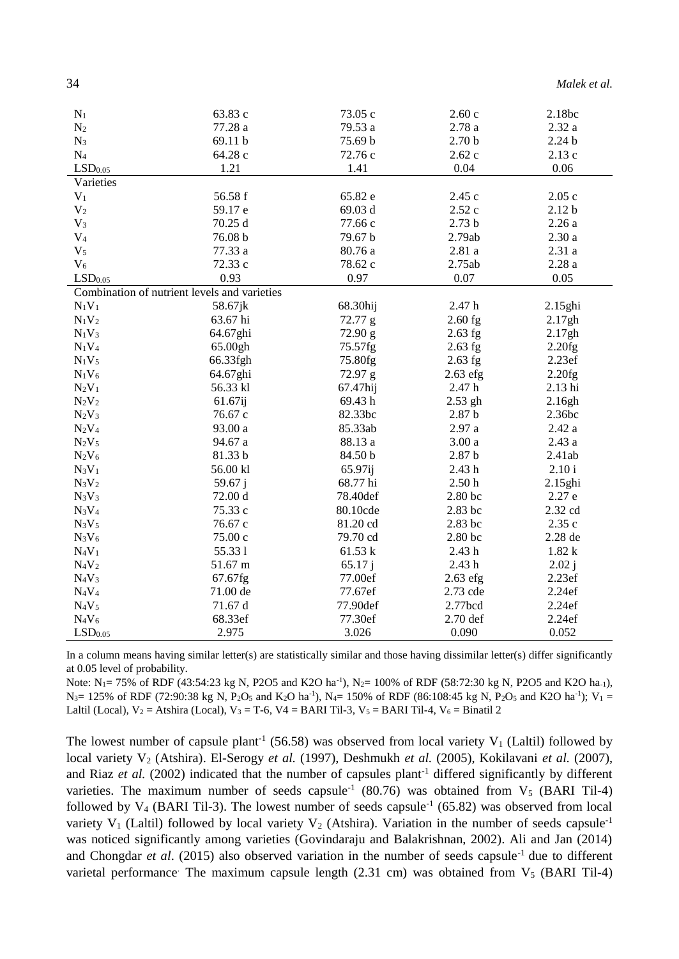| Malek et al. |  |  |  |
|--------------|--|--|--|
|--------------|--|--|--|

| $N_1$                 | 63.83 c                                      | 73.05 c  | 2.60c             | 2.18bc            |
|-----------------------|----------------------------------------------|----------|-------------------|-------------------|
| N <sub>2</sub>        | 77.28 a                                      | 79.53 a  | 2.78a             | 2.32a             |
| $N_3$                 | 69.11 b                                      | 75.69 b  | 2.70 <sub>b</sub> | 2.24 <sub>b</sub> |
| $N_4$                 | 64.28 c                                      | 72.76 c  | 2.62c             | 2.13c             |
| $\mathrm{LSD}_{0.05}$ | 1.21                                         | 1.41     | 0.04              | 0.06              |
| Varieties             |                                              |          |                   |                   |
| $V_1$                 | 56.58 f                                      | 65.82 e  | 2.45c             | 2.05c             |
| V <sub>2</sub>        | 59.17 e                                      | 69.03 d  | 2.52c             | 2.12 <sub>b</sub> |
| $V_3$                 | 70.25 d                                      | 77.66 c  | 2.73 <sub>b</sub> | 2.26a             |
| V <sub>4</sub>        | 76.08 b                                      | 79.67 b  | 2.79ab            | 2.30a             |
| V <sub>5</sub>        | 77.33 a                                      | 80.76 a  | 2.81a             | 2.31a             |
| $V_6$                 | 72.33 c                                      | 78.62 c  | 2.75ab            | 2.28a             |
| LSD <sub>0.05</sub>   | 0.93                                         | 0.97     | 0.07              | 0.05              |
|                       | Combination of nutrient levels and varieties |          |                   |                   |
| $N_1V_1$              | 58.67jk                                      | 68.30hij | 2.47 h            | 2.15ghi           |
| $N_1V_2$              | 63.67 hi                                     | 72.77 g  | $2.60$ fg         | 2.17gh            |
| $N_1V_3$              | 64.67ghi                                     | 72.90 g  | $2.63$ fg         | 2.17gh            |
| $N_1V_4$              | 65.00gh                                      | 75.57fg  | $2.63$ fg         | 2.20fg            |
| $N_1V_5$              | 66.33fgh                                     | 75.80fg  | $2.63$ fg         | 2.23ef            |
| $N_1V_6$              | 64.67ghi                                     | 72.97 g  | $2.63$ efg        | 2.20fg            |
| $N_2V_1$              | 56.33 kl                                     | 67.47hij | 2.47 h            | 2.13 hi           |
| $N_2V_2$              | 61.67ij                                      | 69.43h   | 2.53 gh           | 2.16gh            |
| $N_2V_3$              | 76.67 c                                      | 82.33bc  | 2.87 <sub>b</sub> | 2.36bc            |
| $N_2V_4$              | 93.00 a                                      | 85.33ab  | 2.97a             | 2.42a             |
| $N_2V_5$              | 94.67 a                                      | 88.13 a  | 3.00a             | 2.43a             |
| $N_2V_6$              | 81.33 b                                      | 84.50 b  | 2.87 <sub>b</sub> | 2.41ab            |
| $N_3V_1$              | 56.00 kl                                     | 65.97ij  | 2.43h             | 2.10 i            |
| $N_3V_2$              | 59.67 j                                      | 68.77 hi | 2.50h             | 2.15ghi           |
| $N_3V_3$              | 72.00 d                                      | 78.40def | 2.80 bc           | 2.27 e            |
| $N_3V_4$              | 75.33 c                                      | 80.10cde | 2.83 bc           | 2.32 cd           |
| $N_3V_5$              | 76.67 c                                      | 81.20 cd | 2.83 bc           | 2.35 c            |
| $N_3V_6$              | 75.00 c                                      | 79.70 cd | 2.80 bc           | 2.28 de           |
| $N_4V_1$              | 55.331                                       | 61.53 k  | 2.43h             | 1.82k             |
| $N_4V_2$              | 51.67 m                                      | 65.17j   | 2.43h             | 2.02j             |
| $N_4V_3$              | 67.67fg                                      | 77.00ef  | $2.63$ efg        | 2.23ef            |
| $N_4V_4$              | 71.00 de                                     | 77.67ef  | 2.73 cde          | 2.24ef            |
| $N_4V_5$              | 71.67 d                                      | 77.90def | 2.77bcd           | 2.24ef            |
| $N_4V_6$              | 68.33ef                                      | 77.30ef  | 2.70 def          | 2.24ef            |
| LSD <sub>0.05</sub>   | 2.975                                        | 3.026    | 0.090             | 0.052             |

In a column means having similar letter(s) are statistically similar and those having dissimilar letter(s) differ significantly at 0.05 level of probability.

Note: N<sub>1</sub> = 75% of RDF (43:54:23 kg N, P2O5 and K2O ha<sup>-1</sup>), N<sub>2</sub> = 100% of RDF (58:72:30 kg N, P2O5 and K2O ha<sub>-1</sub>),  $N_3 = 125\%$  of RDF (72:90:38 kg N, P<sub>2</sub>O<sub>5</sub> and K<sub>2</sub>O ha<sup>-1</sup>), N<sub>4</sub> = 150% of RDF (86:108:45 kg N, P<sub>2</sub>O<sub>5</sub> and K2O ha<sup>-1</sup>); V<sub>1</sub> = Laltil (Local),  $V_2$  = Atshira (Local),  $V_3$  = T-6, V4 = BARI Til-3, V<sub>5</sub> = BARI Til-4, V<sub>6</sub> = Binatil 2

The lowest number of capsule plant<sup>-1</sup> (56.58) was observed from local variety  $V_1$  (Laltil) followed by local variety V<sub>2</sub> (Atshira). El-Serogy et al. (1997), Deshmukh et al. (2005), Kokilavani et al. (2007), and Riaz et al. (2002) indicated that the number of capsules plant<sup>-1</sup> differed significantly by different varieties. The maximum number of seeds capsule<sup>-1</sup> (80.76) was obtained from  $V_5$  (BARI Til-4) followed by  $V_4$  (BARI Til-3). The lowest number of seeds capsule<sup>-1</sup> (65.82) was observed from local variety V<sub>1</sub> (Laltil) followed by local variety V<sub>2</sub> (Atshira). Variation in the number of seeds capsule<sup>-1</sup> was noticed significantly among varieties (Govindaraju and Balakrishnan, 2002). Ali and Jan (2014) and Chongdar et al. (2015) also observed variation in the number of seeds capsule<sup>-1</sup> due to different varietal performance: The maximum capsule length (2.31 cm) was obtained from  $V<sub>5</sub>$  (BARI Til-4)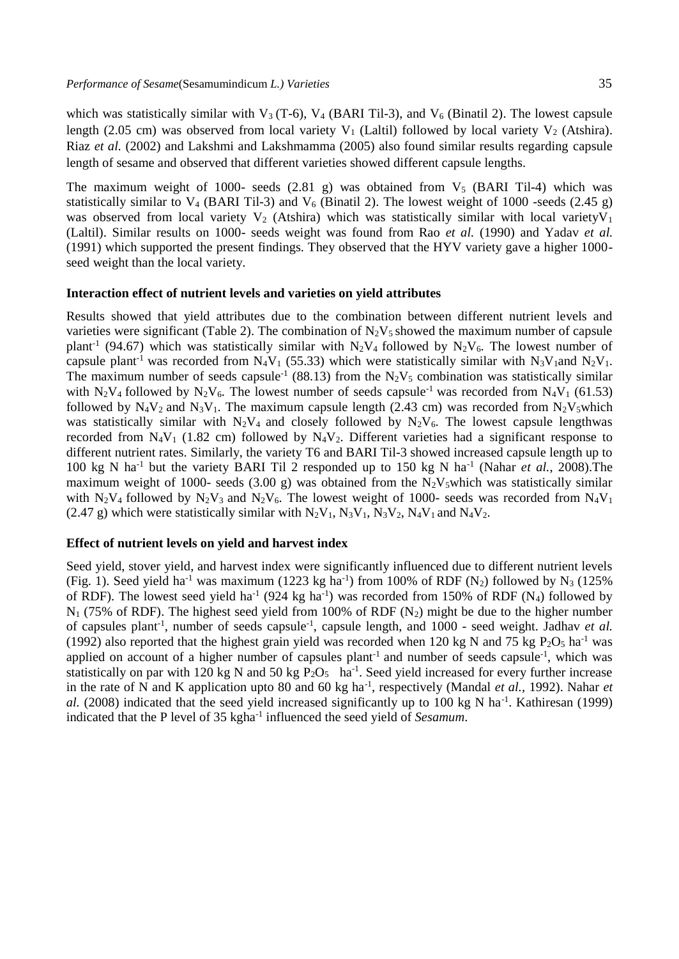which was statistically similar with  $V_3$  (T-6),  $V_4$  (BARI Til-3), and  $V_6$  (Binatil 2). The lowest capsule length (2.05 cm) was observed from local variety  $V_1$  (Laltil) followed by local variety  $V_2$  (Atshira). Riaz *et al.* (2002) and Lakshmi and Lakshmamma (2005) also found similar results regarding capsule length of sesame and observed that different varieties showed different capsule lengths.

The maximum weight of 1000- seeds  $(2.81 \text{ g})$  was obtained from V<sub>5</sub> (BARI Til-4) which was statistically similar to  $V_4$  (BARI Til-3) and  $V_6$  (Binatil 2). The lowest weight of 1000 -seeds (2.45 g) was observed from local variety  $V_2$  (Atshira) which was statistically similar with local variety  $V_1$ (Laltil). Similar results on 1000- seeds weight was found from Rao *et al.* (1990) and Yadav *et al.* (1991) which supported the present findings. They observed that the HYV variety gave a higher 1000 seed weight than the local variety.

#### **Interaction effect of nutrient levels and varieties on yield attributes**

Results showed that yield attributes due to the combination between different nutrient levels and varieties were significant (Table 2). The combination of  $N_2V_5$  showed the maximum number of capsule plant<sup>-1</sup> (94.67) which was statistically similar with  $N_2V_4$  followed by  $N_2V_6$ . The lowest number of capsule plant<sup>-1</sup> was recorded from N<sub>4</sub>V<sub>1</sub> (55.33) which were statistically similar with N<sub>3</sub>V<sub>1</sub>and N<sub>2</sub>V<sub>1</sub>. The maximum number of seeds capsule<sup>-1</sup> (88.13) from the  $N_2V_5$  combination was statistically similar with N<sub>2</sub>V<sub>4</sub> followed by N<sub>2</sub>V<sub>6</sub>. The lowest number of seeds capsule<sup>-1</sup> was recorded from N<sub>4</sub>V<sub>1</sub> (61.53) followed by N<sub>4</sub>V<sub>2</sub> and N<sub>3</sub>V<sub>1</sub>. The maximum capsule length (2.43 cm) was recorded from N<sub>2</sub>V<sub>5</sub>which was statistically similar with  $N_2V_4$  and closely followed by  $N_2V_6$ . The lowest capsule lengthwas recorded from  $N_4V_1$  (1.82 cm) followed by  $N_4V_2$ . Different varieties had a significant response to different nutrient rates. Similarly, the variety T6 and BARI Til-3 showed increased capsule length up to 100 kg N ha<sup>-1</sup> but the variety BARI Til 2 responded up to 150 kg N ha<sup>-1</sup> (Nahar *et al.,* 2008).The maximum weight of 1000- seeds (3.00 g) was obtained from the  $N_2V_5$  which was statistically similar with N<sub>2</sub>V<sub>4</sub> followed by N<sub>2</sub>V<sub>3</sub> and N<sub>2</sub>V<sub>6</sub>. The lowest weight of 1000- seeds was recorded from N<sub>4</sub>V<sub>1</sub> (2.47 g) which were statistically similar with  $N_2V_1$ ,  $N_3V_1$ ,  $N_3V_2$ ,  $N_4V_1$  and  $N_4V_2$ .

### **Effect of nutrient levels on yield and harvest index**

Seed yield, stover yield, and harvest index were significantly influenced due to different nutrient levels (Fig. 1). Seed yield ha<sup>-1</sup> was maximum (1223 kg ha<sup>-1</sup>) from 100% of RDF (N<sub>2</sub>) followed by N<sub>3</sub> (125%) of RDF). The lowest seed yield ha<sup>-1</sup> (924 kg ha<sup>-1</sup>) was recorded from 150% of RDF (N<sub>4</sub>) followed by  $N_1$  (75% of RDF). The highest seed yield from 100% of RDF  $(N_2)$  might be due to the higher number of capsules plant-1 , number of seeds capsule-1 , capsule length, and 1000 - seed weight. Jadhav *et al.* (1992) also reported that the highest grain yield was recorded when 120 kg N and 75 kg  $P_2O<sub>5</sub>$  ha<sup>-1</sup> was applied on account of a higher number of capsules plant<sup>-1</sup> and number of seeds capsule<sup>-1</sup>, which was statistically on par with 120 kg N and 50 kg  $P_2O_5$  ha<sup>-1</sup>. Seed yield increased for every further increase in the rate of N and K application upto 80 and 60 kg ha<sup>-1</sup>, respectively (Mandal *et al.*, 1992). Nahar *et* al.  $(2008)$  indicated that the seed yield increased significantly up to 100 kg N ha<sup>-1</sup>. Kathiresan (1999) indicated that the P level of 35 kgha-1 influenced the seed yield of *Sesamum*.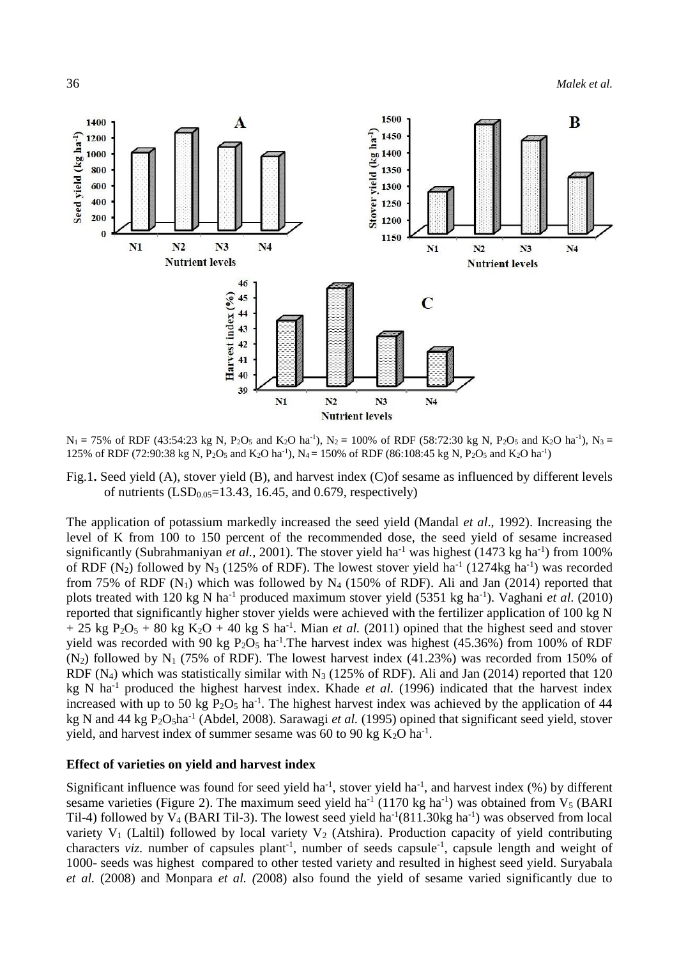

 $N_1$  = 75% of RDF (43:54:23 kg N, P<sub>2</sub>O<sub>5</sub> and K<sub>2</sub>O ha<sup>-1</sup>), N<sub>2</sub> = 100% of RDF (58:72:30 kg N, P<sub>2</sub>O<sub>5</sub> and K<sub>2</sub>O ha<sup>-1</sup>), N<sub>3</sub> = 125% of RDF (72:90:38 kg N, P<sub>2</sub>O<sub>5</sub> and K<sub>2</sub>O ha<sup>-1</sup>), N<sub>4</sub> = 150% of RDF (86:108:45 kg N, P<sub>2</sub>O<sub>5</sub> and K<sub>2</sub>O ha<sup>-1</sup>)

Fig.1**.** Seed yield (A), stover yield (B), and harvest index (C)of sesame as influenced by different levels of nutrients  $(LSD<sub>0.05</sub>=13.43, 16.45, and 0.679, respectively)$ 

The application of potassium markedly increased the seed yield (Mandal *et al*., 1992). Increasing the level of K from 100 to 150 percent of the recommended dose, the seed yield of sesame increased significantly (Subrahmaniyan *et al.*, 2001). The stover yield ha<sup>-1</sup> was highest (1473 kg ha<sup>-1</sup>) from 100% of RDF (N<sub>2</sub>) followed by N<sub>3</sub> (125% of RDF). The lowest stover yield ha<sup>-1</sup> (1274kg ha<sup>-1</sup>) was recorded from 75% of RDF  $(N_1)$  which was followed by N<sub>4</sub> (150% of RDF). Ali and Jan (2014) reported that plots treated with 120 kg N ha<sup>-1</sup> produced maximum stover yield (5351 kg ha<sup>-1</sup>). Vaghani *et al.* (2010) reported that significantly higher stover yields were achieved with the fertilizer application of 100 kg N  $+ 25$  kg P<sub>2</sub>O<sub>5</sub> + 80 kg K<sub>2</sub>O + 40 kg S ha<sup>-1</sup>. Mian *et al.* (2011) opined that the highest seed and stover yield was recorded with 90 kg  $P_2O_5$  ha<sup>-1</sup>. The harvest index was highest (45.36%) from 100% of RDF  $(N_2)$  followed by N<sub>1</sub> (75% of RDF). The lowest harvest index (41.23%) was recorded from 150% of RDF (N<sub>4</sub>) which was statistically similar with N<sub>3</sub> (125% of RDF). Ali and Jan (2014) reported that 120 kg N ha-1 produced the highest harvest index. Khade *et al.* (1996) indicated that the harvest index increased with up to 50 kg  $P_2O_5$  ha<sup>-1</sup>. The highest harvest index was achieved by the application of 44 kg N and 44 kg P<sub>2</sub>O<sub>5</sub>ha<sup>-1</sup> (Abdel, 2008). Sarawagi et al. (1995) opined that significant seed yield, stover yield, and harvest index of summer sesame was 60 to 90 kg  $K_2O$  ha<sup>-1</sup>.

### **Effect of varieties on yield and harvest index**

Significant influence was found for seed yield ha<sup>-1</sup>, stover yield ha<sup>-1</sup>, and harvest index  $(\%)$  by different sesame varieties (Figure 2). The maximum seed yield ha<sup>-1</sup> (1170 kg ha<sup>-1</sup>) was obtained from  $V_5$  (BARI Til-4) followed by  $V_4$  (BARI Til-3). The lowest seed yield ha<sup>-1</sup>(811.30kg ha<sup>-1</sup>) was observed from local variety  $V_1$  (Laltil) followed by local variety  $V_2$  (Atshira). Production capacity of yield contributing characters *viz*. number of capsules plant<sup>-1</sup>, number of seeds capsule<sup>-1</sup>, capsule length and weight of 1000- seeds was highest compared to other tested variety and resulted in highest seed yield. Suryabala *et al.* (2008) and Monpara *et al. (*2008) also found the yield of sesame varied significantly due to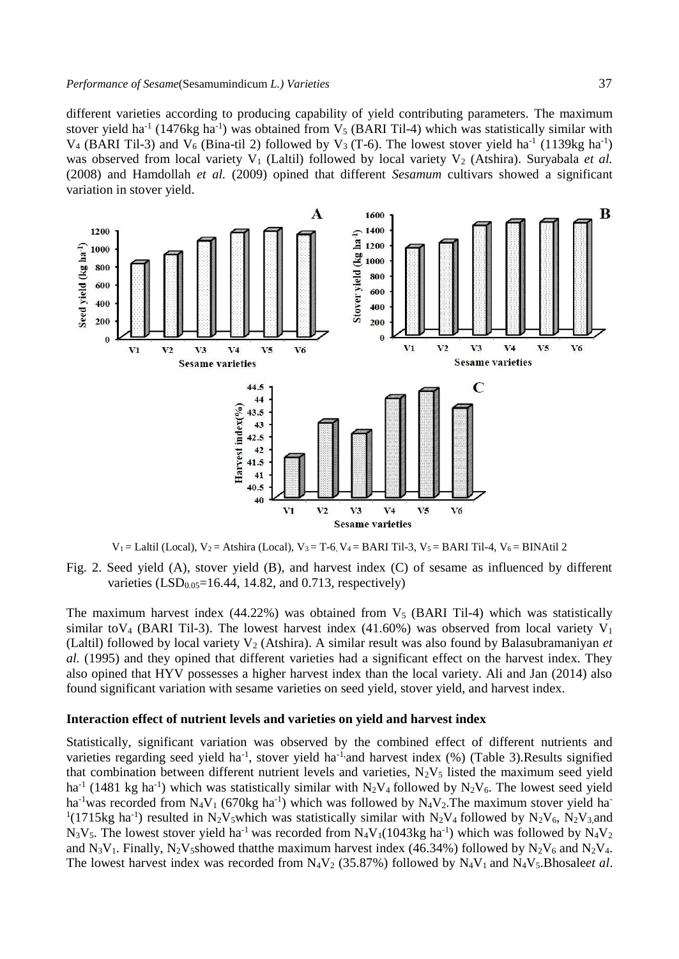different varieties according to producing capability of yield contributing parameters. The maximum stover yield ha<sup>-1</sup> (1476kg ha<sup>-1</sup>) was obtained from  $V_5$  (BARI Til-4) which was statistically similar with  $V_4$  (BARI Til-3) and  $V_6$  (Bina-til 2) followed by  $V_3$  (T-6). The lowest stover yield ha<sup>-1</sup> (1139kg ha<sup>-1</sup>) was observed from local variety  $V_1$  (Laltil) followed by local variety  $V_2$  (Atshira). Suryabala *et al.* (2008) and Hamdollah *et al.* (2009) opined that different *Sesamum* cultivars showed a significant variation in stover yield.



 $V_1 =$  Laltil (Local),  $V_2 =$  Atshira (Local),  $V_3 =$  T-6,  $V_4 =$  BARI Til-3,  $V_5 =$  BARI Til-4,  $V_6 =$  BINAtil 2

Fig. 2. Seed yield (A), stover yield (B), and harvest index (C) of sesame as influenced by different varieties  $(LSD<sub>0.05</sub>=16.44, 14.82, and 0.713, respectively)$ 

The maximum harvest index  $(44.22%)$  was obtained from  $V<sub>5</sub>$  (BARI Til-4) which was statistically similar to V<sub>4</sub> (BARI Til-3). The lowest harvest index (41.60%) was observed from local variety V<sub>1</sub> (Laltil) followed by local variety  $V_2$  (Atshira). A similar result was also found by Balasubramaniyan *et al.* (1995) and they opined that different varieties had a significant effect on the harvest index. They also opined that HYV possesses a higher harvest index than the local variety. Ali and Jan (2014) also found significant variation with sesame varieties on seed yield, stover yield, and harvest index.

#### **Interaction effect of nutrient levels and varieties on yield and harvest index**

Statistically, significant variation was observed by the combined effect of different nutrients and varieties regarding seed yield ha<sup>-1</sup>, stover yield ha<sup>-1</sup> and harvest index  $(\%)$  (Table 3). Results signified that combination between different nutrient levels and varieties,  $N_2V_5$  listed the maximum seed yield ha<sup>-1</sup> (1481 kg ha<sup>-1</sup>) which was statistically similar with  $N_2V_4$  followed by  $N_2V_6$ . The lowest seed yield ha<sup>-1</sup>was recorded from N<sub>4</sub>V<sub>1</sub> (670kg ha<sup>-1</sup>) which was followed by N<sub>4</sub>V<sub>2</sub>. The maximum stover yield ha<sup>-1</sup> <sup>1</sup>(1715kg ha<sup>-1</sup>) resulted in N<sub>2</sub>V<sub>5</sub>which was statistically similar with N<sub>2</sub>V<sub>4</sub> followed by N<sub>2</sub>V<sub>6</sub>, N<sub>2</sub>V<sub>3</sub>,and  $N_3V_5$ . The lowest stover yield ha<sup>-1</sup> was recorded from  $N_4V_1(1043kg$  ha<sup>-1</sup>) which was followed by  $N_4V_2$ and N<sub>3</sub>V<sub>1</sub>. Finally, N<sub>2</sub>V<sub>5</sub>showed that the maximum harvest index (46.34%) followed by N<sub>2</sub>V<sub>6</sub> and N<sub>2</sub>V<sub>4</sub>. The lowest harvest index was recorded from  $N_4V_2$  (35.87%) followed by  $N_4V_1$  and  $N_4V_5$ . Bhosale*et al.*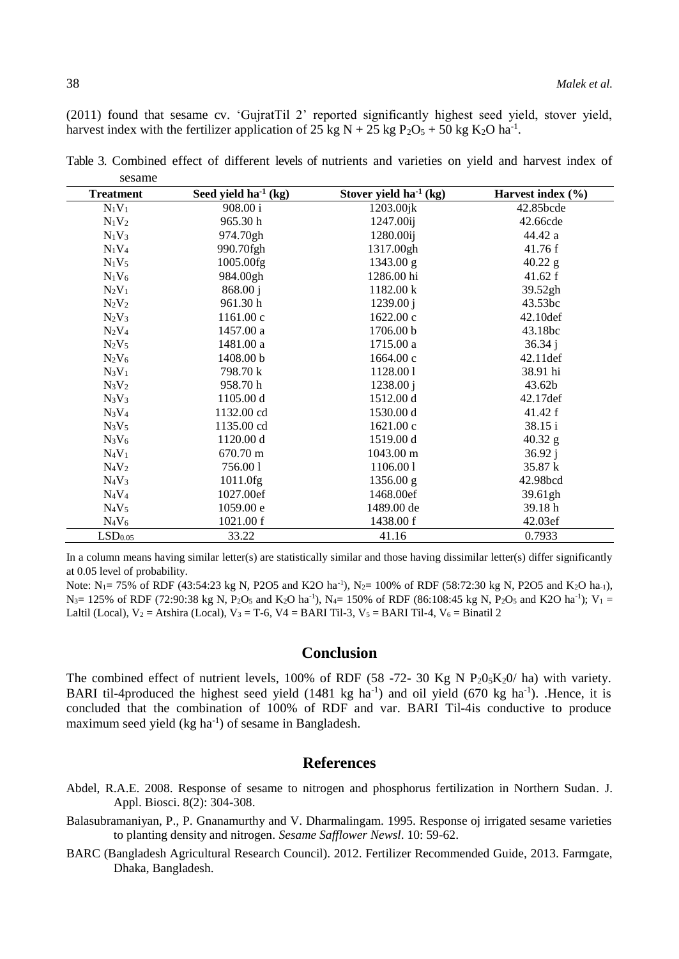(2011) found that sesame cv. 'GujratTil 2' reported significantly highest seed yield, stover yield, harvest index with the fertilizer application of 25 kg N + 25 kg P<sub>2</sub>O<sub>5</sub> + 50 kg K<sub>2</sub>O ha<sup>-1</sup>.

| <b>Treatment</b>    | Seed yield $ha^{-1}$ (kg) | Stover yield ha <sup>-1</sup> (kg) | Harvest index (%) |
|---------------------|---------------------------|------------------------------------|-------------------|
| $N_1V_1$            | 908.00 i                  | $1203.00$ jk                       | 42.85bcde         |
| $N_1V_2$            | 965.30 h                  | 1247.00ij                          | 42.66cde          |
| $N_1V_3$            | 974.70gh                  | 1280.00ij                          | 44.42 a           |
| $N_1V_4$            | 990.70fgh                 | 1317.00gh                          | 41.76 f           |
| $N_1V_5$            | 1005.00fg                 | 1343.00 g                          | $40.22$ g         |
| $N_1V_6$            | 984.00gh                  | 1286.00 hi                         | 41.62 f           |
| $N_2V_1$            | 868.00j                   | 1182.00 k                          | 39.52gh           |
| $N_2V_2$            | 961.30 h                  | 1239.00 i                          | 43.53bc           |
| $N_2V_3$            | 1161.00c                  | 1622.00c                           | 42.10def          |
| $N_2V_4$            | 1457.00 a                 | 1706.00 b                          | 43.18bc           |
| $N_2V_5$            | 1481.00 a                 | 1715.00 a                          | 36.34 i           |
| $N_2V_6$            | 1408.00 b                 | 1664.00c                           | $42.11$ def       |
| $N_3V_1$            | 798.70 k                  | 1128.001                           | 38.91 hi          |
| $N_3V_2$            | 958.70 h                  | 1238.00 i                          | 43.62b            |
| $N_3V_3$            | 1105.00 d                 | 1512.00 d                          | 42.17def          |
| $N_3V_4$            | 1132.00 cd                | 1530.00 d                          | 41.42 f           |
| $N_3V_5$            | 1135.00 cd                | 1621.00c                           | 38.15 i           |
| $N_3V_6$            | 1120.00 d                 | 1519.00 d                          | $40.32$ g         |
| $N_4V_1$            | 670.70 m                  | 1043.00 m                          | 36.92 j           |
| $N_4V_2$            | 756.001                   | 1106.001                           | 35.87 k           |
| $N_4V_3$            | 1011.0fg                  | 1356.00 g                          | 42.98bcd          |
| $N_4V_4$            | 1027.00ef                 | 1468.00ef                          | 39.61gh           |
| $N_4V_5$            | 1059.00 e                 | 1489.00 de                         | 39.18h            |
| $N_4V_6$            | 1021.00 f                 | 1438.00 f                          | 42.03ef           |
| LSD <sub>0.05</sub> | 33.22                     | 41.16                              | 0.7933            |

Table 3. Combined effect of different levels of nutrients and varieties on yield and harvest index of sesame

In a column means having similar letter(s) are statistically similar and those having dissimilar letter(s) differ significantly at 0.05 level of probability.

Note: N<sub>1</sub>= 75% of RDF (43:54:23 kg N, P2O5 and K2O ha<sup>-1</sup>), N<sub>2</sub>= 100% of RDF (58:72:30 kg N, P2O5 and K<sub>2</sub>O ha-1),  $N_3$  = 125% of RDF (72:90:38 kg N, P<sub>2</sub>O<sub>5</sub> and K<sub>2</sub>O ha<sup>-1</sup>), N<sub>4</sub> = 150% of RDF (86:108:45 kg N, P<sub>2</sub>O<sub>5</sub> and K2O ha<sup>-1</sup>); V<sub>1</sub> = Laltil (Local),  $V_2$  = Atshira (Local),  $V_3$  = T-6, V4 = BARI Til-3, V<sub>5</sub> = BARI Til-4, V<sub>6</sub> = Binatil 2

### **Conclusion**

The combined effect of nutrient levels, 100% of RDF (58 -72- 30 Kg N  $P_2O_3K_2O/$  ha) with variety. BARI til-4produced the highest seed yield (1481 kg ha<sup>-1</sup>) and oil yield (670 kg ha<sup>-1</sup>). Hence, it is concluded that the combination of 100% of RDF and var. BARI Til-4is conductive to produce maximum seed yield (kg ha<sup>-1</sup>) of sesame in Bangladesh.

# **References**

- Abdel, R.A.E. 2008. Response of sesame to nitrogen and phosphorus fertilization in Northern Sudan. J. Appl. Biosci. 8(2): 304-308.
- Balasubramaniyan, P., P. Gnanamurthy and V. Dharmalingam. 1995. Response oj irrigated sesame varieties to planting density and nitrogen. Sesame Safflower Newsl. 10: 59-62.
- BARC (Bangladesh Agricultural Research Council). 2012. Fertilizer Recommended Guide, 2013. Farmgate, Dhaka, Bangladesh.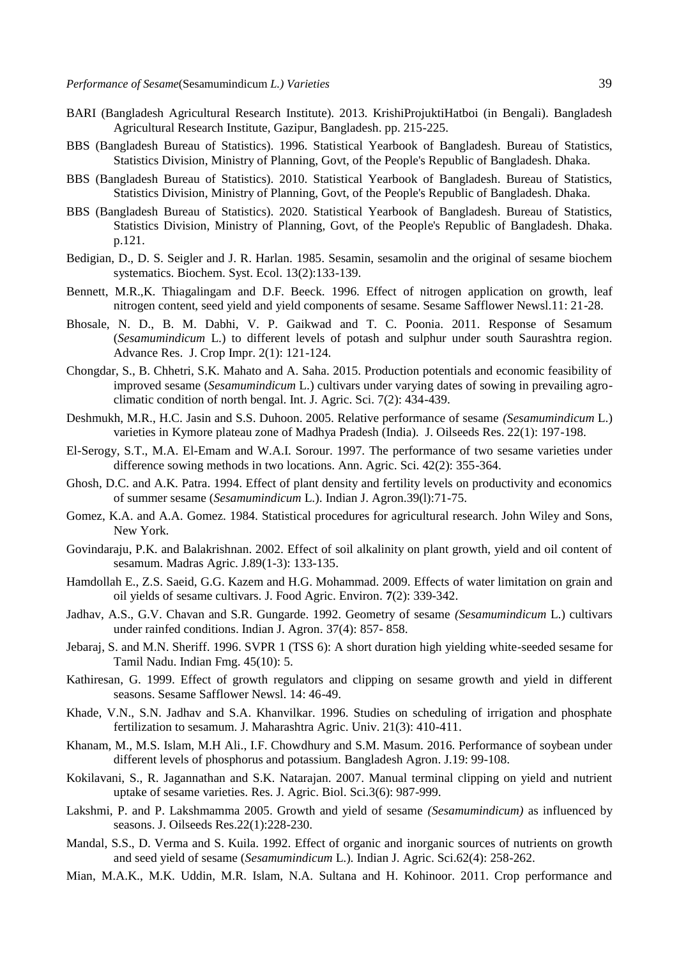- BARI (Bangladesh Agricultural Research Institute). 2013. KrishiProjuktiHatboi (in Bengali). Bangladesh Agricultural Research Institute, Gazipur, Bangladesh. pp. 215-225.
- BBS (Bangladesh Bureau of Statistics). 1996. Statistical Yearbook of Bangladesh. Bureau of Statistics, Statistics Division, Ministry of Planning, Govt, of the People's Republic of Bangladesh. Dhaka.
- BBS (Bangladesh Bureau of Statistics). 2010. Statistical Yearbook of Bangladesh. Bureau of Statistics, Statistics Division, Ministry of Planning, Govt, of the People's Republic of Bangladesh. Dhaka.
- BBS (Bangladesh Bureau of Statistics). 2020. Statistical Yearbook of Bangladesh. Bureau of Statistics, Statistics Division, Ministry of Planning, Govt, of the People's Republic of Bangladesh. Dhaka. p.121.
- Bedigian, D., D. S. Seigler and J. R. Harlan. 1985. Sesamin, sesamolin and the original of sesame biochem systematics. Biochem. Syst. Ecol. 13(2):133-139.
- Bennett, M.R.,K. Thiagalingam and D.F. Beeck. 1996. Effect of nitrogen application on growth, leaf nitrogen content, seed yield and yield components of sesame. Sesame Safflower Newsl.11: 21-28.
- Bhosale, N. D., B. M. Dabhi, V. P. Gaikwad and T. C. Poonia. 2011. Response of Sesamum (*Sesamumindicum* L.) to different levels of potash and sulphur under south Saurashtra region. Advance Res. J. Crop Impr. 2(1): 121-124.
- Chongdar, S., B. Chhetri, S.K. Mahato and A. Saha. 2015. Production potentials and economic feasibility of improved sesame (*Sesamumindicum* L.) cultivars under varying dates of sowing in prevailing agroclimatic condition of north bengal. Int. J. Agric. Sci. 7(2): 434-439.
- Deshmukh, M.R., H.C. Jasin and S.S. Duhoon. 2005. Relative performance of sesame *(Sesamumindicum* L.) varieties in Kymore plateau zone of Madhya Pradesh (India). J. Oilseeds Res. 22(1): 197-198.
- El-Serogy, S.T., M.A. El-Emam and W.A.I. Sorour. 1997. The performance of two sesame varieties under difference sowing methods in two locations. Ann. Agric. Sci. 42(2): 355-364.
- Ghosh, D.C. and A.K. Patra. 1994. Effect of plant density and fertility levels on productivity and economics of summer sesame (*Sesamumindicum* L.). Indian J. Agron.39(l):71-75.
- Gomez, K.A. and A.A. Gomez. 1984. Statistical procedures for agricultural research. John Wiley and Sons, New York.
- Govindaraju, P.K. and Balakrishnan. 2002. Effect of soil alkalinity on plant growth, yield and oil content of sesamum. Madras Agric. J.89(1-3): 133-135.
- Hamdollah E., Z.S. Saeid, G.G. Kazem and H.G. Mohammad. 2009. Effects of water limitation on grain and oil yields of sesame cultivars. J. Food Agric. Environ*.* **7**(2): 339-342.
- Jadhav, A.S., G.V. Chavan and S.R. Gungarde. 1992. Geometry of sesame *(Sesamumindicum* L.) cultivars under rainfed conditions. Indian J. Agron*.* 37(4): 857- 858.
- Jebaraj, S. and M.N. Sheriff. 1996. SVPR 1 (TSS 6): A short duration high yielding white-seeded sesame for Tamil Nadu. Indian Fmg. 45(10): 5.
- Kathiresan, G. 1999. Effect of growth regulators and clipping on sesame growth and yield in different seasons. Sesame Safflower Newsl. 14: 46-49.
- Khade, V.N., S.N. Jadhav and S.A. Khanvilkar. 1996. Studies on scheduling of irrigation and phosphate fertilization to sesamum. J. Maharashtra Agric. Univ. 21(3): 410-411.
- Khanam, M., M.S. Islam, M.H Ali., I.F. Chowdhury and S.M. Masum. 2016. Performance of soybean under different levels of phosphorus and potassium. Bangladesh Agron. J.19: 99-108.
- Kokilavani, S., R. Jagannathan and S.K. Natarajan. 2007. Manual terminal clipping on yield and nutrient uptake of sesame varieties. Res. J. Agric. Biol. Sci.3(6): 987-999.
- Lakshmi, P. and P. Lakshmamma 2005. Growth and yield of sesame *(Sesamumindicum)* as influenced by seasons. J. Oilseeds Res.22(1):228-230.
- Mandal, S.S., D. Verma and S. Kuila. 1992. Effect of organic and inorganic sources of nutrients on growth and seed yield of sesame (*Sesamumindicum* L.). Indian J. Agric. Sci.62(4): 258-262.
- Mian, M.A.K., M.K. Uddin, M.R. Islam, N.A. Sultana and H. Kohinoor. 2011. Crop performance and